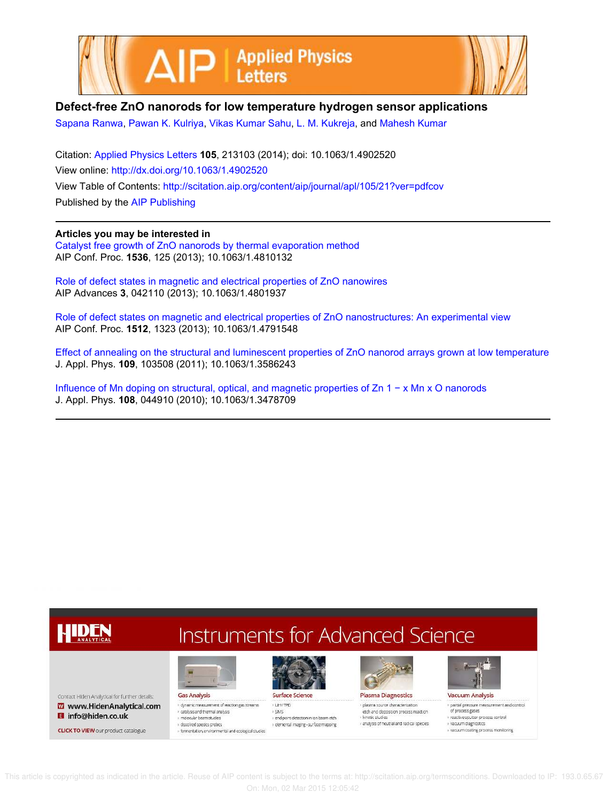



## **Defect-free ZnO nanorods for low temperature hydrogen sensor applications**

Sapana Ranwa, Pawan K. Kulriya, Vikas Kumar Sahu, L. M. Kukreja, and Mahesh Kumar

Citation: Applied Physics Letters **105**, 213103 (2014); doi: 10.1063/1.4902520 View online: http://dx.doi.org/10.1063/1.4902520 View Table of Contents: http://scitation.aip.org/content/aip/journal/apl/105/21?ver=pdfcov Published by the AIP Publishing

## **Articles you may be interested in**

Catalyst free growth of ZnO nanorods by thermal evaporation method AIP Conf. Proc. **1536**, 125 (2013); 10.1063/1.4810132

Role of defect states in magnetic and electrical properties of ZnO nanowires AIP Advances **3**, 042110 (2013); 10.1063/1.4801937

Role of defect states on magnetic and electrical properties of ZnO nanostructures: An experimental view AIP Conf. Proc. **1512**, 1323 (2013); 10.1063/1.4791548

Effect of annealing on the structural and luminescent properties of ZnO nanorod arrays grown at low temperature J. Appl. Phys. **109**, 103508 (2011); 10.1063/1.3586243

Influence of Mn doping on structural, optical, and magnetic properties of Zn 1 − x Mn x O nanorods J. Appl. Phys. **108**, 044910 (2010); 10.1063/1.3478709

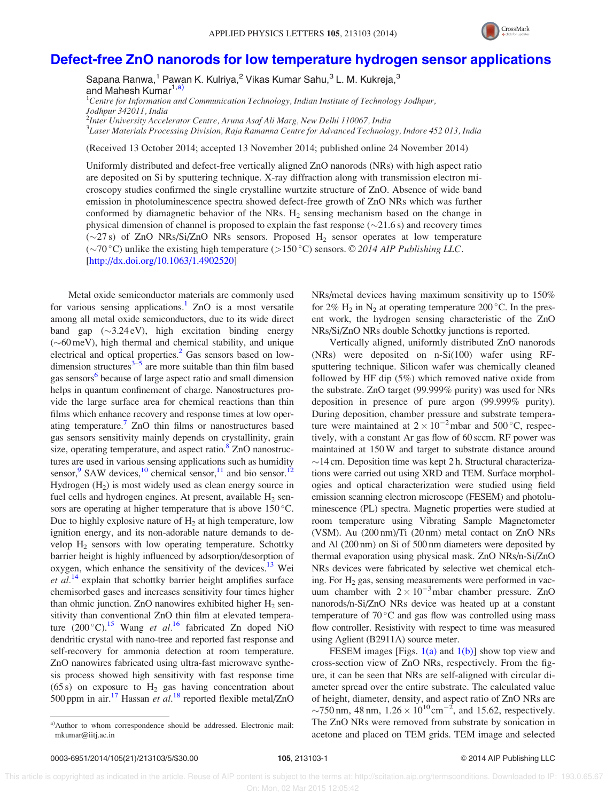

## Defect-free ZnO nanorods for low temperature hydrogen sensor applications

Sapana Ranwa, $^1$  Pawan K. Kulriya, $^2$  Vikas Kumar Sahu, $^3$  L. M. Kukreja, $^3$ and Mahesh Kumar<sup>1,a)</sup> <sup>1</sup>Centre for Information and Communication Technology, Indian Institute of Technology Jodhpur,

Jodhpur 342011, India

<sup>2</sup>Inter University Accelerator Centre, Aruna Asaf Ali Marg, New Delhi 110067, India

3 Laser Materials Processing Division, Raja Ramanna Centre for Advanced Technology, Indore 452 013, India

(Received 13 October 2014; accepted 13 November 2014; published online 24 November 2014)

Uniformly distributed and defect-free vertically aligned ZnO nanorods (NRs) with high aspect ratio are deposited on Si by sputtering technique. X-ray diffraction along with transmission electron microscopy studies confirmed the single crystalline wurtzite structure of ZnO. Absence of wide band emission in photoluminescence spectra showed defect-free growth of ZnO NRs which was further conformed by diamagnetic behavior of the NRs.  $H_2$  sensing mechanism based on the change in physical dimension of channel is proposed to explain the fast response  $(\sim 21.6 \text{ s})$  and recovery times  $(\sim 27 \text{ s})$  of ZnO NRs/Si/ZnO NRs sensors. Proposed H<sub>2</sub> sensor operates at low temperature ( $\sim$ 70 °C) unlike the existing high temperature ( $>$ 150 °C) sensors. © 2014 AIP Publishing LLC. [http://dx.doi.org/10.1063/1.4902520]

Metal oxide semiconductor materials are commonly used for various sensing applications.<sup>1</sup> ZnO is a most versatile among all metal oxide semiconductors, due to its wide direct band gap  $(\sim 3.24 \text{ eV})$ , high excitation binding energy  $({\sim}60 \,\text{meV})$ , high thermal and chemical stability, and unique electrical and optical properties.<sup>2</sup> Gas sensors based on lowdimension structures $3\overline{-5}$  are more suitable than thin film based gas sensors<sup>6</sup> because of large aspect ratio and small dimension helps in quantum confinement of charge. Nanostructures provide the large surface area for chemical reactions than thin films which enhance recovery and response times at low operating temperature.<sup>7</sup> ZnO thin films or nanostructures based gas sensors sensitivity mainly depends on crystallinity, grain size, operating temperature, and aspect ratio.<sup>8</sup> ZnO nanostructures are used in various sensing applications such as humidity sensor,  $9$  SAW devices,  $10$  chemical sensor,  $11$  and bio sensor.  $12$ Hydrogen  $(H_2)$  is most widely used as clean energy source in fuel cells and hydrogen engines. At present, available  $H_2$  sensors are operating at higher temperature that is above  $150^{\circ}$ C. Due to highly explosive nature of  $H<sub>2</sub>$  at high temperature, low ignition energy, and its non-adorable nature demands to develop  $H<sub>2</sub>$  sensors with low operating temperature. Schottky barrier height is highly influenced by adsorption/desorption of oxygen, which enhance the sensitivity of the devices.<sup>13</sup> Wei et  $al^{14}$  explain that schottky barrier height amplifies surface chemisorbed gases and increases sensitivity four times higher than ohmic junction. ZnO nanowires exhibited higher  $H_2$  sensitivity than conventional ZnO thin film at elevated temperature (200 °C).<sup>15</sup> Wang et al.<sup>16</sup> fabricated Zn doped NiO dendritic crystal with nano-tree and reported fast response and self-recovery for ammonia detection at room temperature. ZnO nanowires fabricated using ultra-fast microwave synthesis process showed high sensitivity with fast response time (65 s) on exposure to  $H_2$  gas having concentration about 500 ppm in  $air$ <sup>17</sup> Hassan et al.<sup>18</sup> reported flexible metal/ZnO NRs/metal devices having maximum sensitivity up to 150% for 2%  $H_2$  in  $N_2$  at operating temperature 200 °C. In the present work, the hydrogen sensing characteristic of the ZnO NRs/Si/ZnO NRs double Schottky junctions is reported.

Vertically aligned, uniformly distributed ZnO nanorods (NRs) were deposited on n-Si(100) wafer using RFsputtering technique. Silicon wafer was chemically cleaned followed by HF dip (5%) which removed native oxide from the substrate. ZnO target (99.999% purity) was used for NRs deposition in presence of pure argon (99.999% purity). During deposition, chamber pressure and substrate temperature were maintained at  $2 \times 10^{-2}$  mbar and 500 °C, respectively, with a constant Ar gas flow of 60 sccm. RF power was maintained at 150W and target to substrate distance around  $\sim$  14 cm. Deposition time was kept 2 h. Structural characterizations were carried out using XRD and TEM. Surface morphologies and optical characterization were studied using field emission scanning electron microscope (FESEM) and photoluminescence (PL) spectra. Magnetic properties were studied at room temperature using Vibrating Sample Magnetometer (VSM). Au (200 nm)/Ti (20 nm) metal contact on ZnO NRs and Al (200 nm) on Si of 500 nm diameters were deposited by thermal evaporation using physical mask. ZnO NRs/n-Si/ZnO NRs devices were fabricated by selective wet chemical etching. For  $H_2$  gas, sensing measurements were performed in vacuum chamber with  $2 \times 10^{-3}$ mbar chamber pressure. ZnO nanorods/n-Si/ZnO NRs device was heated up at a constant temperature of  $70^{\circ}$ C and gas flow was controlled using mass flow controller. Resistivity with respect to time was measured using Aglient (B2911A) source meter.

FESEM images [Figs.  $1(a)$  and  $1(b)$ ] show top view and cross-section view of ZnO NRs, respectively. From the figure, it can be seen that NRs are self-aligned with circular diameter spread over the entire substrate. The calculated value of height, diameter, density, and aspect ratio of ZnO NRs are ~750 nm, 48 nm,  $1.26 \times 10^{10}$  cm<sup>-2</sup>, and 15.62, respectively. The ZnO NRs were removed from substrate by sonication in acetone and placed on TEM grids. TEM image and selected

a)Author to whom correspondence should be addressed. Electronic mail: mkumar@iitj.ac.in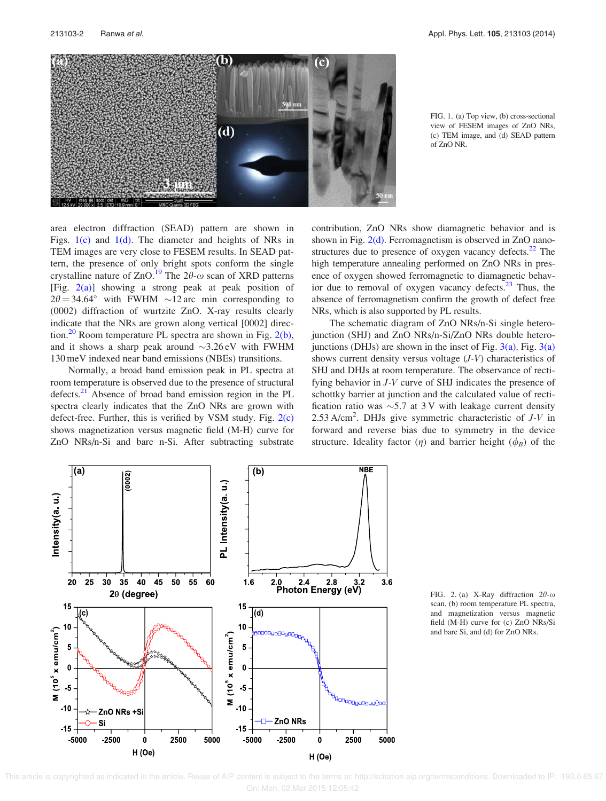

FIG. 1. (a) Top view, (b) cross-sectional view of FESEM images of ZnO NRs, (c) TEM image, and (d) SEAD pattern of ZnO NR.

area electron diffraction (SEAD) pattern are shown in Figs.  $1(c)$  and  $1(d)$ . The diameter and heights of NRs in TEM images are very close to FESEM results. In SEAD pattern, the presence of only bright spots conform the single crystalline nature of ZnO.<sup>19</sup> The  $2\theta$ - $\omega$  scan of XRD patterns [Fig.  $2(a)$ ] showing a strong peak at peak position of  $2\theta = 34.64^{\circ}$  with FWHM  $\sim 12$  arc min corresponding to (0002) diffraction of wurtzite ZnO. X-ray results clearly indicate that the NRs are grown along vertical [0002] direction.<sup>20</sup> Room temperature PL spectra are shown in Fig.  $2(b)$ , and it shows a sharp peak around  $\sim$ 3.26 eV with FWHM 130 meV indexed near band emissions (NBEs) transitions.

Normally, a broad band emission peak in PL spectra at room temperature is observed due to the presence of structural defects.<sup>21</sup> Absence of broad band emission region in the PL spectra clearly indicates that the ZnO NRs are grown with defect-free. Further, this is verified by VSM study. Fig. 2(c) shows magnetization versus magnetic field (M-H) curve for ZnO NRs/n-Si and bare n-Si. After subtracting substrate contribution, ZnO NRs show diamagnetic behavior and is shown in Fig.  $2(d)$ . Ferromagnetism is observed in ZnO nanostructures due to presence of oxygen vacancy defects. $22$  The high temperature annealing performed on ZnO NRs in presence of oxygen showed ferromagnetic to diamagnetic behavior due to removal of oxygen vacancy defects. $^{23}$  Thus, the absence of ferromagnetism confirm the growth of defect free NRs, which is also supported by PL results.

The schematic diagram of ZnO NRs/n-Si single heterojunction (SHJ) and ZnO NRs/n-Si/ZnO NRs double heterojunctions (DHJs) are shown in the inset of Fig.  $3(a)$ . Fig.  $3(a)$ shows current density versus voltage (J-V) characteristics of SHJ and DHJs at room temperature. The observance of rectifying behavior in J-V curve of SHJ indicates the presence of schottky barrier at junction and the calculated value of rectification ratio was  $\sim$ 5.7 at 3 V with leakage current density 2.53 A/cm<sup>2</sup>. DHJs give symmetric characteristic of  $J-V$  in forward and reverse bias due to symmetry in the device structure. Ideality factor  $(\eta)$  and barrier height  $(\phi_B)$  of the



FIG. 2. (a) X-Ray diffraction  $2\theta$ - $\omega$ scan, (b) room temperature PL spectra, and magnetization versus magnetic field (M-H) curve for (c) ZnO NRs/Si and bare Si, and (d) for ZnO NRs.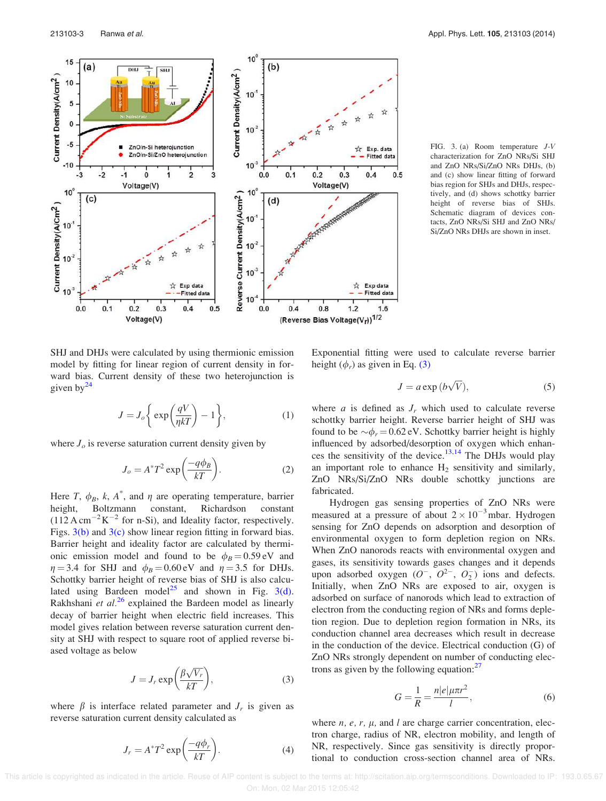

FIG. 3. (a) Room temperature J-V characterization for ZnO NRs/Si SHJ and ZnO NRs/Si/ZnO NRs DHJs, (b) and (c) show linear fitting of forward bias region for SHJs and DHJs, respectively, and (d) shows schottky barrier height of reverse bias of SHJs. Schematic diagram of devices contacts, ZnO NRs/Si SHJ and ZnO NRs/ Si/ZnO NRs DHJs are shown in inset.

SHJ and DHJs were calculated by using thermionic emission model by fitting for linear region of current density in forward bias. Current density of these two heterojunction is given by $^{24}$ 

$$
J = J_o \left\{ \exp\left(\frac{qV}{\eta kT}\right) - 1 \right\},\tag{1}
$$

where  $J<sub>o</sub>$  is reverse saturation current density given by

$$
J_o = A^* T^2 \exp\left(\frac{-q\phi_B}{kT}\right). \tag{2}
$$

Here T,  $\phi_B$ , k, A<sup>\*</sup>, and  $\eta$  are operating temperature, barrier height, Boltzmann constant, Richardson constant  $(112 \text{ A cm}^{-2} \text{K}^{-2} \text{ for n-Si})$ , and Ideality factor, respectively. Figs.  $3(b)$  and  $3(c)$  show linear region fitting in forward bias. Barrier height and ideality factor are calculated by thermionic emission model and found to be  $\phi_B = 0.59 \text{ eV}$  and  $\eta = 3.4$  for SHJ and  $\phi_B = 0.60 \text{ eV}$  and  $\eta = 3.5$  for DHJs. Schottky barrier height of reverse bias of SHJ is also calculated using Bardeen model<sup>25</sup> and shown in Fig.  $3(d)$ . Rakhshani et  $al^{26}$  explained the Bardeen model as linearly decay of barrier height when electric field increases. This model gives relation between reverse saturation current density at SHJ with respect to square root of applied reverse biased voltage as below

$$
J = J_r \exp\left(\frac{\beta \sqrt{V_r}}{kT}\right),\tag{3}
$$

where  $\beta$  is interface related parameter and  $J_r$  is given as reverse saturation current density calculated as

$$
J_r = A^* T^2 \exp\left(\frac{-q\phi_r}{kT}\right). \tag{4}
$$

Exponential fitting were used to calculate reverse barrier height  $(\phi_r)$  as given in Eq. (3)

$$
J = a \exp(b\sqrt{V}), \tag{5}
$$

where  $a$  is defined as  $J_r$  which used to calculate reverse schottky barrier height. Reverse barrier height of SHJ was found to be  $\sim \phi_r = 0.62 \text{ eV}$ . Schottky barrier height is highly influenced by adsorbed/desorption of oxygen which enhances the sensitivity of the device.<sup>13,14</sup> The DHJs would play an important role to enhance  $H_2$  sensitivity and similarly, ZnO NRs/Si/ZnO NRs double schottky junctions are fabricated.

Hydrogen gas sensing properties of ZnO NRs were measured at a pressure of about  $2 \times 10^{-3}$  mbar. Hydrogen sensing for ZnO depends on adsorption and desorption of environmental oxygen to form depletion region on NRs. When ZnO nanorods reacts with environmental oxygen and gases, its sensitivity towards gases changes and it depends upon adsorbed oxygen  $(O^-, O^{2-}, O_2^-)$  ions and defects. Initially, when ZnO NRs are exposed to air, oxygen is adsorbed on surface of nanorods which lead to extraction of electron from the conducting region of NRs and forms depletion region. Due to depletion region formation in NRs, its conduction channel area decreases which result in decrease in the conduction of the device. Electrical conduction (G) of ZnO NRs strongly dependent on number of conducting electrons as given by the following equation: $27$ 

$$
G = \frac{1}{R} = \frac{n|e|\mu\pi r^2}{l},\tag{6}
$$

where  $n$ ,  $e$ ,  $r$ ,  $\mu$ , and l are charge carrier concentration, electron charge, radius of NR, electron mobility, and length of NR, respectively. Since gas sensitivity is directly proportional to conduction cross-section channel area of NRs.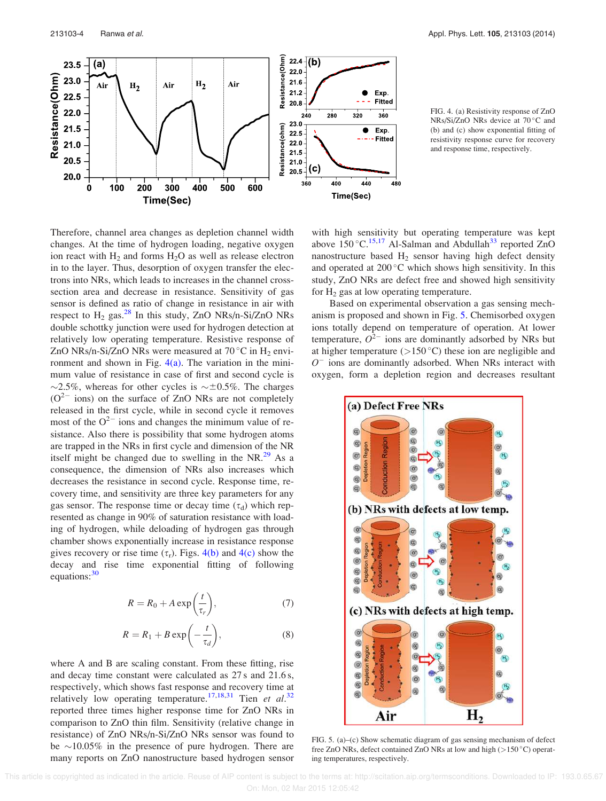

FIG. 4. (a) Resistivity response of ZnO NRs/Si/ZnO NRs device at 70 °C and (b) and (c) show exponential fitting of resistivity response curve for recovery and response time, respectively.

Therefore, channel area changes as depletion channel width changes. At the time of hydrogen loading, negative oxygen ion react with  $H_2$  and forms  $H_2O$  as well as release electron in to the layer. Thus, desorption of oxygen transfer the electrons into NRs, which leads to increases in the channel crosssection area and decrease in resistance. Sensitivity of gas sensor is defined as ratio of change in resistance in air with respect to  $H_2$  gas.<sup>28</sup> In this study, ZnO NRs/n-Si/ZnO NRs double schottky junction were used for hydrogen detection at relatively low operating temperature. Resistive response of ZnO NRs/n-Si/ZnO NRs were measured at  $70^{\circ}$ C in H<sub>2</sub> environment and shown in Fig.  $4(a)$ . The variation in the minimum value of resistance in case of first and second cycle is  $\sim$ 2.5%, whereas for other cycles is  $\sim \pm 0.5$ %. The charges  $(O^{2-})$  ions) on the surface of ZnO NRs are not completely released in the first cycle, while in second cycle it removes most of the  $O^{2-}$  ions and changes the minimum value of resistance. Also there is possibility that some hydrogen atoms are trapped in the NRs in first cycle and dimension of the NR itself might be changed due to swelling in the NR. $^{29}$  As a consequence, the dimension of NRs also increases which decreases the resistance in second cycle. Response time, recovery time, and sensitivity are three key parameters for any gas sensor. The response time or decay time  $(\tau_d)$  which represented as change in 90% of saturation resistance with loading of hydrogen, while deloading of hydrogen gas through chamber shows exponentially increase in resistance response gives recovery or rise time  $(\tau_r)$ . Figs. 4(b) and 4(c) show the decay and rise time exponential fitting of following equations: $30$ 

$$
R = R_0 + A \exp\left(\frac{t}{\tau_r}\right),\tag{7}
$$

$$
R = R_1 + B \exp\left(-\frac{t}{\tau_d}\right),\tag{8}
$$

where A and B are scaling constant. From these fitting, rise and decay time constant were calculated as 27 s and 21.6 s, respectively, which shows fast response and recovery time at relatively low operating temperature.<sup>17,18,31</sup> Tien et al.<sup>32</sup> reported three times higher response time for ZnO NRs in comparison to ZnO thin film. Sensitivity (relative change in resistance) of ZnO NRs/n-Si/ZnO NRs sensor was found to be  $\sim$ 10.05% in the presence of pure hydrogen. There are many reports on ZnO nanostructure based hydrogen sensor with high sensitivity but operating temperature was kept above  $150^{\circ}$ C.<sup>15,17</sup> Al-Salman and Abdullah<sup>33</sup> reported ZnO nanostructure based  $H_2$  sensor having high defect density and operated at  $200^{\circ}$ C which shows high sensitivity. In this study, ZnO NRs are defect free and showed high sensitivity for  $H_2$  gas at low operating temperature.

Based on experimental observation a gas sensing mechanism is proposed and shown in Fig. 5. Chemisorbed oxygen ions totally depend on temperature of operation. At lower temperature,  $O^{2-}$  ions are dominantly adsorbed by NRs but at higher temperature  $(>150 °C)$  these ion are negligible and  $O<sup>-</sup>$  ions are dominantly adsorbed. When NRs interact with oxygen, form a depletion region and decreases resultant



FIG. 5. (a)–(c) Show schematic diagram of gas sensing mechanism of defect free ZnO NRs, defect contained ZnO NRs at low and high ( $>150\degree$ C) operating temperatures, respectively.